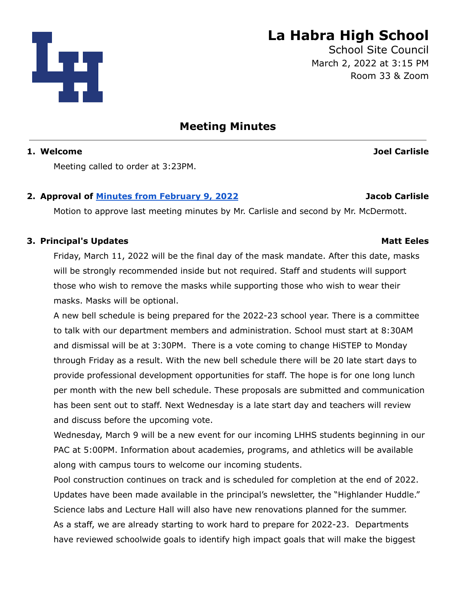

# **La Habra High School**

School Site Council March 2, 2022 at 3:15 PM Room 33 & Zoom

**Meeting Minutes**

# **1. Welcome Joel Carlisle**

Meeting called to order at 3:23PM.

# **2. Approval of Minutes from [February](https://drive.google.com/file/d/16zngs3zf0rNZRAQyFhJUcOe3tHT-h2IZ/view?usp=sharing) 9, 2022 Jacob Carlisle**

Motion to approve last meeting minutes by Mr. Carlisle and second by Mr. McDermott.

# **3. Principal's Updates Matt Eeles**

Friday, March 11, 2022 will be the final day of the mask mandate. After this date, masks will be strongly recommended inside but not required. Staff and students will support those who wish to remove the masks while supporting those who wish to wear their masks. Masks will be optional.

A new bell schedule is being prepared for the 2022-23 school year. There is a committee to talk with our department members and administration. School must start at 8:30AM and dismissal will be at 3:30PM. There is a vote coming to change HiSTEP to Monday through Friday as a result. With the new bell schedule there will be 20 late start days to provide professional development opportunities for staff. The hope is for one long lunch per month with the new bell schedule. These proposals are submitted and communication has been sent out to staff. Next Wednesday is a late start day and teachers will review and discuss before the upcoming vote.

Wednesday, March 9 will be a new event for our incoming LHHS students beginning in our PAC at 5:00PM. Information about academies, programs, and athletics will be available along with campus tours to welcome our incoming students.

Pool construction continues on track and is scheduled for completion at the end of 2022. Updates have been made available in the principal's newsletter, the "Highlander Huddle." Science labs and Lecture Hall will also have new renovations planned for the summer. As a staff, we are already starting to work hard to prepare for 2022-23. Departments have reviewed schoolwide goals to identify high impact goals that will make the biggest